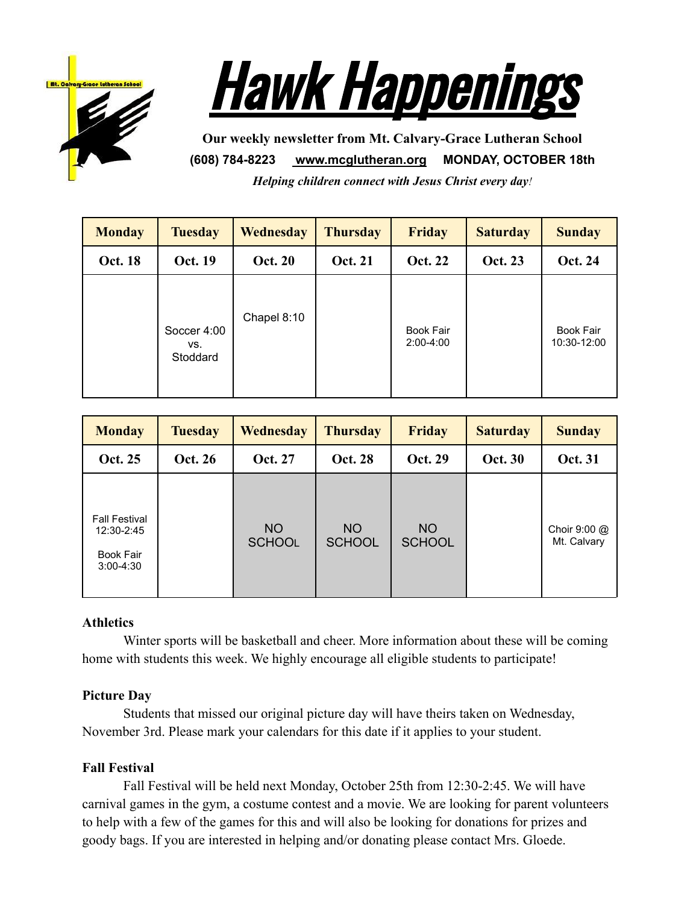



**Our weekly newsletter from Mt. Calvary-Grace Lutheran School (608) 784-8223 [www.mcglutheran.org](http://www.mcglutheran.org/) MONDAY, OCTOBER 18th** *Helping children connect with Jesus Christ every day!*

| <b>Monday</b>  | <b>Tuesday</b>                 | <b>Wednesday</b> | <b>Thursday</b> | <b>Friday</b>                   | <b>Saturday</b> | <b>Sunday</b>                   |
|----------------|--------------------------------|------------------|-----------------|---------------------------------|-----------------|---------------------------------|
| <b>Oct. 18</b> | <b>Oct. 19</b>                 | <b>Oct. 20</b>   | <b>Oct. 21</b>  | <b>Oct. 22</b>                  | <b>Oct. 23</b>  | <b>Oct. 24</b>                  |
|                | Soccer 4:00<br>VS.<br>Stoddard | Chapel 8:10      |                 | <b>Book Fair</b><br>$2:00-4:00$ |                 | <b>Book Fair</b><br>10:30-12:00 |

| <b>Monday</b>                                                           | <b>Tuesday</b> | <b>Wednesday</b>           | <b>Thursday</b>      | <b>Friday</b>              | <b>Saturday</b> | <b>Sunday</b>                         |
|-------------------------------------------------------------------------|----------------|----------------------------|----------------------|----------------------------|-----------------|---------------------------------------|
| <b>Oct. 25</b>                                                          | <b>Oct. 26</b> | <b>Oct. 27</b>             | <b>Oct. 28</b>       | <b>Oct. 29</b>             | <b>Oct. 30</b>  | <b>Oct. 31</b>                        |
| <b>Fall Festival</b><br>12:30-2:45<br><b>Book Fair</b><br>$3:00 - 4:30$ |                | <b>NO</b><br><b>SCHOOL</b> | NO.<br><b>SCHOOL</b> | <b>NO</b><br><b>SCHOOL</b> |                 | Choir $9:00 \text{ @}$<br>Mt. Calvary |

# **Athletics**

Winter sports will be basketball and cheer. More information about these will be coming home with students this week. We highly encourage all eligible students to participate!

# **Picture Day**

Students that missed our original picture day will have theirs taken on Wednesday, November 3rd. Please mark your calendars for this date if it applies to your student.

# **Fall Festival**

Fall Festival will be held next Monday, October 25th from 12:30-2:45. We will have carnival games in the gym, a costume contest and a movie. We are looking for parent volunteers to help with a few of the games for this and will also be looking for donations for prizes and goody bags. If you are interested in helping and/or donating please contact Mrs. Gloede.